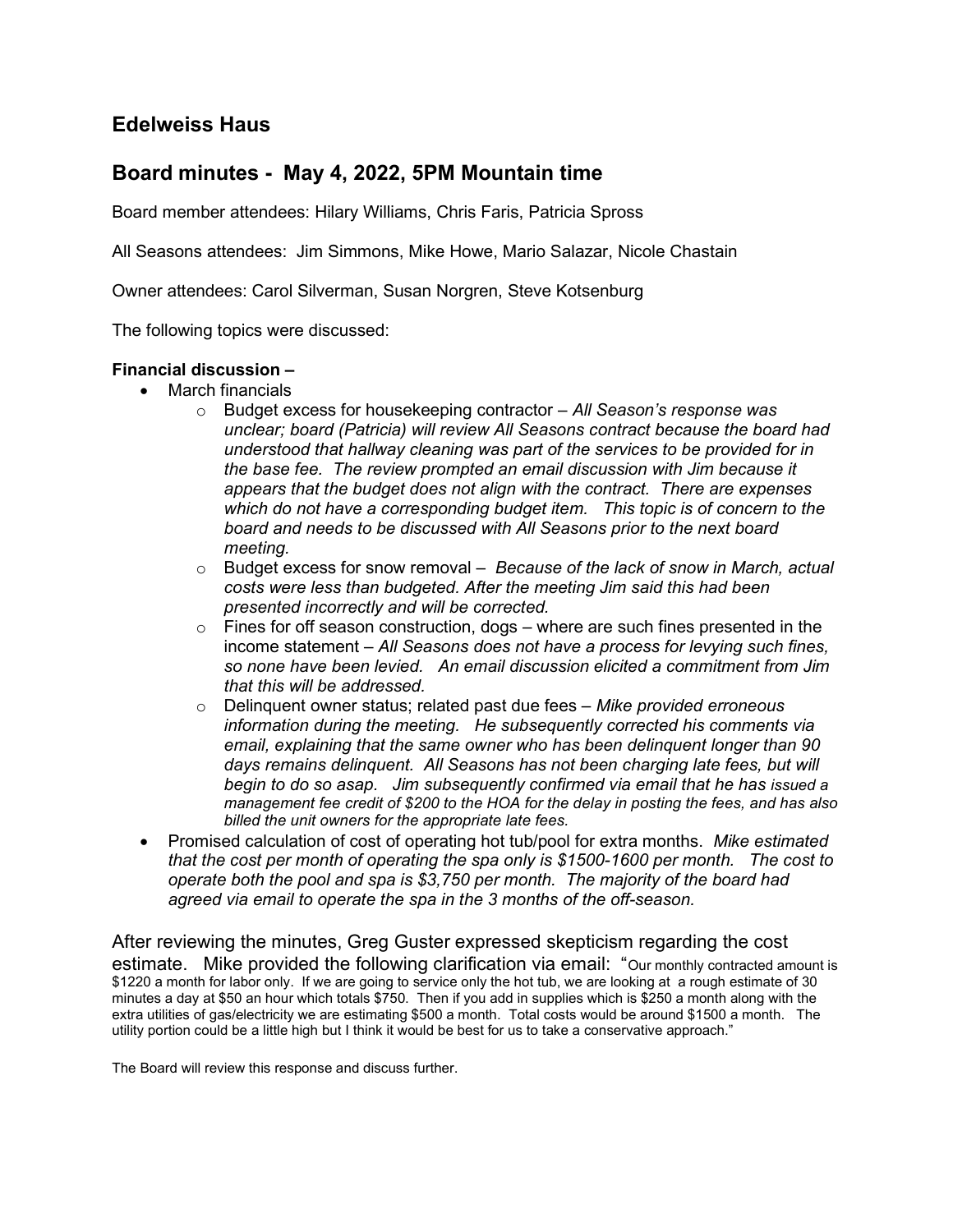# Edelweiss Haus

## Board minutes - May 4, 2022, 5PM Mountain time

Board member attendees: Hilary Williams, Chris Faris, Patricia Spross

All Seasons attendees: Jim Simmons, Mike Howe, Mario Salazar, Nicole Chastain

Owner attendees: Carol Silverman, Susan Norgren, Steve Kotsenburg

The following topics were discussed:

## Financial discussion –

- March financials
	- $\circ$  Budget excess for housekeeping contractor  $-AII$  Season's response was unclear; board (Patricia) will review All Seasons contract because the board had understood that hallway cleaning was part of the services to be provided for in the base fee. The review prompted an email discussion with Jim because it appears that the budget does not align with the contract. There are expenses which do not have a corresponding budget item. This topic is of concern to the board and needs to be discussed with All Seasons prior to the next board meeting.
	- $\circ$  Budget excess for snow removal Because of the lack of snow in March, actual costs were less than budgeted. After the meeting Jim said this had been presented incorrectly and will be corrected.
	- $\circ$  Fines for off season construction, dogs where are such fines presented in the income statement – All Seasons does not have a process for levying such fines, so none have been levied. An email discussion elicited a commitment from Jim that this will be addressed.
	- $\circ$  Delinquent owner status; related past due fees Mike provided erroneous information during the meeting. He subsequently corrected his comments via email, explaining that the same owner who has been delinquent longer than 90 days remains delinquent. All Seasons has not been charging late fees, but will begin to do so asap. Jim subsequently confirmed via email that he has issued a management fee credit of \$200 to the HOA for the delay in posting the fees, and has also billed the unit owners for the appropriate late fees.
- Promised calculation of cost of operating hot tub/pool for extra months. Mike estimated that the cost per month of operating the spa only is \$1500-1600 per month. The cost to operate both the pool and spa is \$3,750 per month. The majority of the board had agreed via email to operate the spa in the 3 months of the off-season.

After reviewing the minutes, Greg Guster expressed skepticism regarding the cost estimate. Mike provided the following clarification via email: "Our monthly contracted amount is \$1220 a month for labor only. If we are going to service only the hot tub, we are looking at a rough estimate of 30 minutes a day at \$50 an hour which totals \$750. Then if you add in supplies which is \$250 a month along with the extra utilities of gas/electricity we are estimating \$500 a month. Total costs would be around \$1500 a month. The utility portion could be a little high but I think it would be best for us to take a conservative approach."

The Board will review this response and discuss further.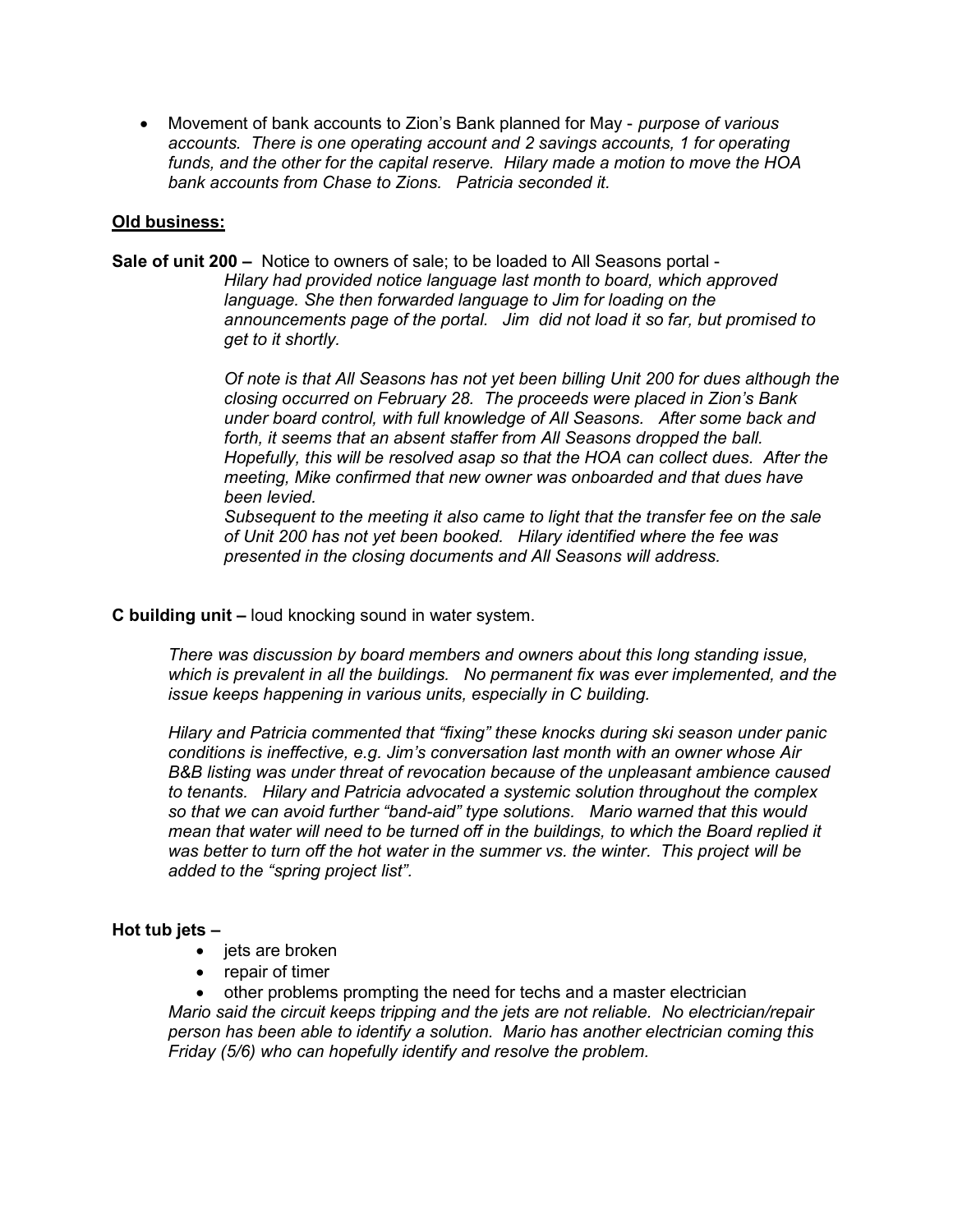• Movement of bank accounts to Zion's Bank planned for May - *purpose of various* accounts. There is one operating account and 2 savings accounts, 1 for operating funds, and the other for the capital reserve. Hilary made a motion to move the HOA bank accounts from Chase to Zions. Patricia seconded it.

## Old business:

Sale of unit 200 – Notice to owners of sale; to be loaded to All Seasons portal - Hilary had provided notice language last month to board, which approved language. She then forwarded language to Jim for loading on the announcements page of the portal. Jim did not load it so far, but promised to get to it shortly.

> Of note is that All Seasons has not yet been billing Unit 200 for dues although the closing occurred on February 28. The proceeds were placed in Zion's Bank under board control, with full knowledge of All Seasons. After some back and forth, it seems that an absent staffer from All Seasons dropped the ball. Hopefully, this will be resolved asap so that the HOA can collect dues. After the meeting, Mike confirmed that new owner was onboarded and that dues have been levied.

Subsequent to the meeting it also came to light that the transfer fee on the sale of Unit 200 has not yet been booked. Hilary identified where the fee was presented in the closing documents and All Seasons will address.

#### C building unit – loud knocking sound in water system.

There was discussion by board members and owners about this long standing issue, which is prevalent in all the buildings. No permanent fix was ever implemented, and the issue keeps happening in various units, especially in C building.

Hilary and Patricia commented that "fixing" these knocks during ski season under panic conditions is ineffective, e.g. Jim's conversation last month with an owner whose Air B&B listing was under threat of revocation because of the unpleasant ambience caused to tenants. Hilary and Patricia advocated a systemic solution throughout the complex so that we can avoid further "band-aid" type solutions. Mario warned that this would mean that water will need to be turned off in the buildings, to which the Board replied it was better to turn off the hot water in the summer vs. the winter. This project will be added to the "spring project list".

#### Hot tub jets –

- $\bullet$  jets are broken
- repair of timer

 other problems prompting the need for techs and a master electrician Mario said the circuit keeps tripping and the jets are not reliable. No electrician/repair person has been able to identify a solution. Mario has another electrician coming this Friday (5/6) who can hopefully identify and resolve the problem.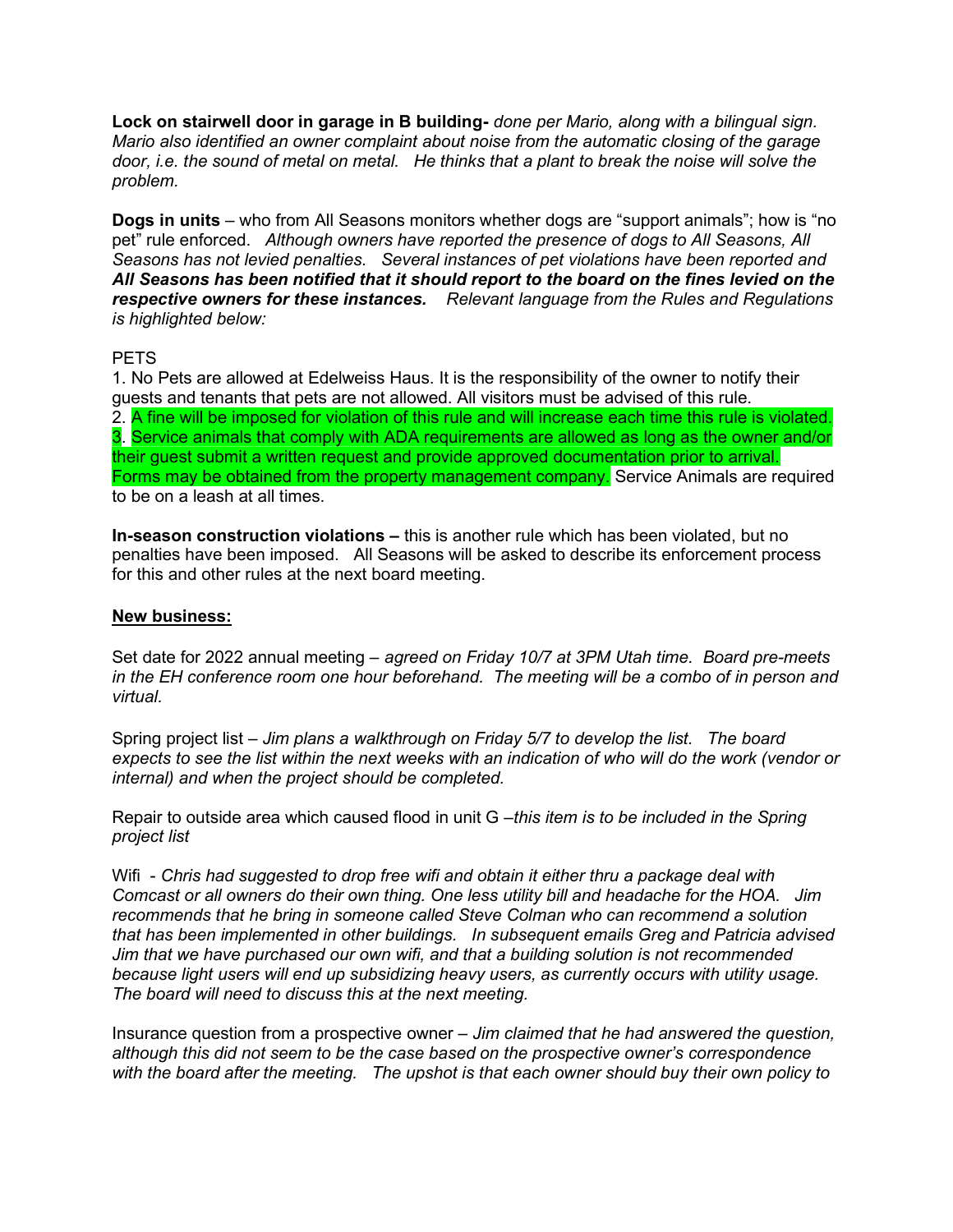Lock on stairwell door in garage in B building- done per Mario, along with a bilingual sign. Mario also identified an owner complaint about noise from the automatic closing of the garage door, i.e. the sound of metal on metal. He thinks that a plant to break the noise will solve the problem.

Dogs in units – who from All Seasons monitors whether dogs are "support animals"; how is "no pet" rule enforced. Although owners have reported the presence of dogs to All Seasons, All Seasons has not levied penalties. Several instances of pet violations have been reported and All Seasons has been notified that it should report to the board on the fines levied on the respective owners for these instances. Relevant language from the Rules and Regulations is highlighted below:

## PETS

1. No Pets are allowed at Edelweiss Haus. It is the responsibility of the owner to notify their guests and tenants that pets are not allowed. All visitors must be advised of this rule. 2. A fine will be imposed for violation of this rule and will increase each time this rule is violated. 3. Service animals that comply with ADA requirements are allowed as long as the owner and/or their guest submit a written request and provide approved documentation prior to arrival. Forms may be obtained from the property management company. Service Animals are required to be on a leash at all times.

In-season construction violations – this is another rule which has been violated, but no penalties have been imposed. All Seasons will be asked to describe its enforcement process for this and other rules at the next board meeting.

### New business:

Set date for 2022 annual meeting – agreed on Friday 10/7 at 3PM Utah time. Board pre-meets in the EH conference room one hour beforehand. The meeting will be a combo of in person and virtual.

Spring project list – Jim plans a walkthrough on Friday 5/7 to develop the list. The board expects to see the list within the next weeks with an indication of who will do the work (vendor or internal) and when the project should be completed.

Repair to outside area which caused flood in unit G –this item is to be included in the Spring project list

Wifi - Chris had suggested to drop free wifi and obtain it either thru a package deal with Comcast or all owners do their own thing. One less utility bill and headache for the HOA. Jim recommends that he bring in someone called Steve Colman who can recommend a solution that has been implemented in other buildings. In subsequent emails Greg and Patricia advised Jim that we have purchased our own wifi, and that a building solution is not recommended because light users will end up subsidizing heavy users, as currently occurs with utility usage. The board will need to discuss this at the next meeting.

Insurance question from a prospective owner – Jim claimed that he had answered the question, although this did not seem to be the case based on the prospective owner's correspondence with the board after the meeting. The upshot is that each owner should buy their own policy to